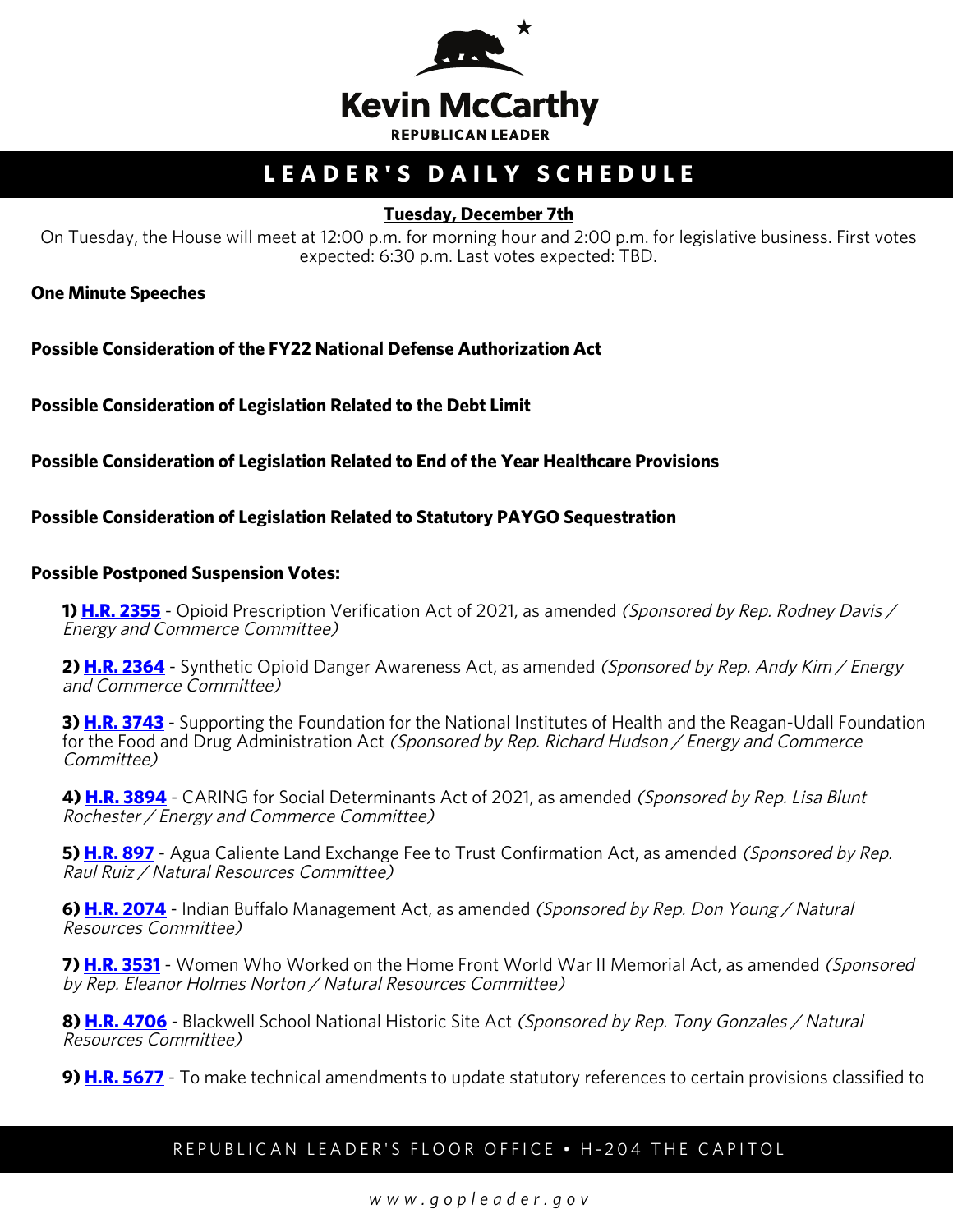

# **LEADER'S DAILY SCHEDULE**

### **Tuesday, December 7th**

On Tuesday, the House will meet at 12:00 p.m. for morning hour and 2:00 p.m. for legislative business. First votes expected: 6:30 p.m. Last votes expected: TBD.

**One Minute Speeches**

**Possible Consideration of the FY22 National Defense Authorization Act**

**Possible Consideration of Legislation Related to the Debt Limit**

**Possible Consideration of Legislation Related to End of the Year Healthcare Provisions**

**Possible Consideration of Legislation Related to Statutory PAYGO Sequestration**

#### **Possible Postponed Suspension Votes:**

**1) [H.R. 2355](https://urldefense.com/v3/__https:/house.us19.list-manage.com/track/click?u=e7c7dd67b1306044019cbb94d&id=459f86c17d&e=83c8ffea47__;!!Bg5easoyC-OII2vlEqY8mTBrtW-N4OJKAQ!axXlLL1QFGpZh_8mxHIOQuMAUqPh8uWtOvpYEFemRmEYq35HfevtyfS0TloNbjnDED3m4JXgNw$)** - Opioid Prescription Verification Act of 2021, as amended *(Sponsored by Rep. Rodney Davis /* Energy and Commerce Committee)

2) **H.R. 2364** - Synthetic Opioid Danger Awareness Act, as amended (Sponsored by Rep. Andy Kim / Energy and Commerce Committee)

**3) [H.R. 3743](https://urldefense.com/v3/__https:/house.us19.list-manage.com/track/click?u=e7c7dd67b1306044019cbb94d&id=1492ef1399&e=83c8ffea47__;!!Bg5easoyC-OII2vlEqY8mTBrtW-N4OJKAQ!axXlLL1QFGpZh_8mxHIOQuMAUqPh8uWtOvpYEFemRmEYq35HfevtyfS0TloNbjnDED3z4bPahg$)** - Supporting the Foundation for the National Institutes of Health and the Reagan-Udall Foundation for the Food and Drug Administration Act (Sponsored by Rep. Richard Hudson / Energy and Commerce Committee)

**4) [H.R. 3894](https://urldefense.com/v3/__https:/house.us19.list-manage.com/track/click?u=e7c7dd67b1306044019cbb94d&id=3ba938a184&e=83c8ffea47__;!!Bg5easoyC-OII2vlEqY8mTBrtW-N4OJKAQ!axXlLL1QFGpZh_8mxHIOQuMAUqPh8uWtOvpYEFemRmEYq35HfevtyfS0TloNbjnDED14uRdc8Q$)** - CARING for Social Determinants Act of 2021, as amended (Sponsored by Rep. Lisa Blunt Rochester / Energy and Commerce Committee)

5) **H.R. 897** - Agua Caliente Land Exchange Fee to Trust Confirmation Act, as amended (Sponsored by Rep. Raul Ruiz / Natural Resources Committee)

**6) [H.R. 2074](https://urldefense.com/v3/__https:/house.us19.list-manage.com/track/click?u=e7c7dd67b1306044019cbb94d&id=59f7960d7d&e=83c8ffea47__;!!Bg5easoyC-OII2vlEqY8mTBrtW-N4OJKAQ!axXlLL1QFGpZh_8mxHIOQuMAUqPh8uWtOvpYEFemRmEYq35HfevtyfS0TloNbjnDED1l6-Ao0w$)** - Indian Buffalo Management Act, as amended (Sponsored by Rep. Don Young / Natural Resources Committee)

**7) [H.R. 3531](https://urldefense.com/v3/__https:/house.us19.list-manage.com/track/click?u=e7c7dd67b1306044019cbb94d&id=6cda09aa3d&e=83c8ffea47__;!!Bg5easoyC-OII2vlEqY8mTBrtW-N4OJKAQ!axXlLL1QFGpZh_8mxHIOQuMAUqPh8uWtOvpYEFemRmEYq35HfevtyfS0TloNbjnDED2Z-1N7kQ$)** - Women Who Worked on the Home Front World War II Memorial Act, as amended (Sponsored by Rep. Eleanor Holmes Norton / Natural Resources Committee)

**8) [H.R. 4706](https://urldefense.com/v3/__https:/house.us19.list-manage.com/track/click?u=e7c7dd67b1306044019cbb94d&id=024bd5c303&e=83c8ffea47__;!!Bg5easoyC-OII2vlEqY8mTBrtW-N4OJKAQ!axXlLL1QFGpZh_8mxHIOQuMAUqPh8uWtOvpYEFemRmEYq35HfevtyfS0TloNbjnDED1Vpk11cg$)** - Blackwell School National Historic Site Act (Sponsored by Rep. Tony Gonzales / Natural Resources Committee)

**9) [H.R. 5677](https://urldefense.com/v3/__https:/house.us19.list-manage.com/track/click?u=e7c7dd67b1306044019cbb94d&id=1080116f47&e=83c8ffea47__;!!Bg5easoyC-OII2vlEqY8mTBrtW-N4OJKAQ!axXlLL1QFGpZh_8mxHIOQuMAUqPh8uWtOvpYEFemRmEYq35HfevtyfS0TloNbjnDED3mZ4hIWQ$)** - To make technical amendments to update statutory references to certain provisions classified to

#### REPUBLICAN LEADER'S FLOOR OFFICE • H-204 THE CAPITOL